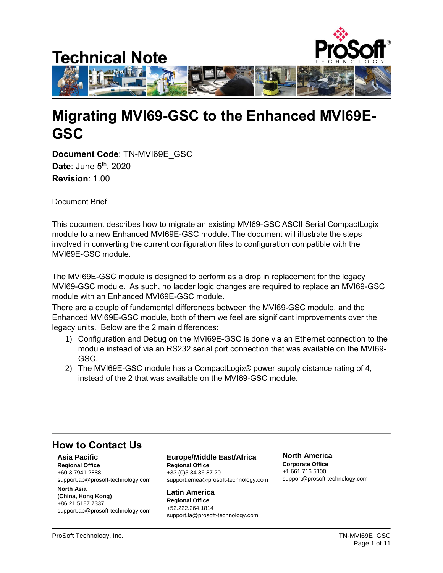

# **Migrating MVI69-GSC to the Enhanced MVI69E-GSC**

**Document Code**: TN-MVI69E\_GSC **Date: June 5<sup>th</sup>, 2020 Revision**: 1.00

Document Brief

This document describes how to migrate an existing MVI69-GSC ASCII Serial CompactLogix module to a new Enhanced MVI69E-GSC module. The document will illustrate the steps involved in converting the current configuration files to configuration compatible with the MVI69E-GSC module.

The MVI69E-GSC module is designed to perform as a drop in replacement for the legacy MVI69-GSC module. As such, no ladder logic changes are required to replace an MVI69-GSC module with an Enhanced MVI69E-GSC module.

There are a couple of fundamental differences between the MVI69-GSC module, and the Enhanced MVI69E-GSC module, both of them we feel are significant improvements over the legacy units. Below are the 2 main differences:

- 1) Configuration and Debug on the MVI69E-GSC is done via an Ethernet connection to the module instead of via an RS232 serial port connection that was available on the MVI69- GSC.
- 2) The MVI69E-GSC module has a CompactLogix® power supply distance rating of 4, instead of the 2 that was available on the MVI69-GSC module.

# **How to Contact Us**

**Asia Pacific Regional Office** +60.3.7941.2888 support.ap@prosoft-technology.com

**North Asia (China, Hong Kong)** +86.21.5187.7337 support.ap@prosoft-technology.com **Europe/Middle East/Africa Regional Office**

+33.(0)5.34.36.87.20 support.emea@prosoft-technology.com

**Latin America Regional Office** +52.222.264.1814 support.la@prosoft-technology.com **North America Corporate Office** +1.661.716.5100 support@prosoft-technology.com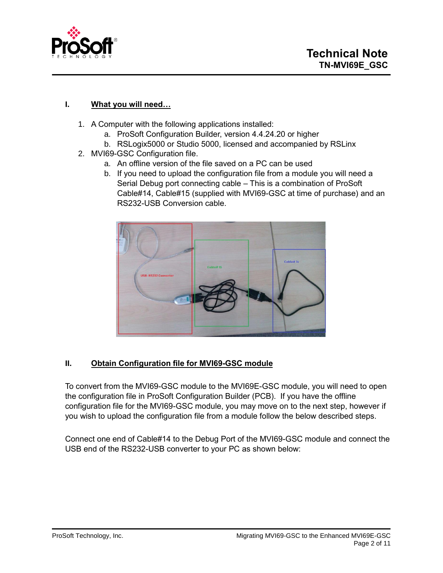

# **I. What you will need…**

- 1. A Computer with the following applications installed:
	- a. ProSoft Configuration Builder, version 4.4.24.20 or higher
	- b. RSLogix5000 or Studio 5000, licensed and accompanied by RSLinx
- 2. MVI69-GSC Configuration file.
	- a. An offline version of the file saved on a PC can be used
	- b. If you need to upload the configuration file from a module you will need a Serial Debug port connecting cable – This is a combination of ProSoft Cable#14, Cable#15 (supplied with MVI69-GSC at time of purchase) and an RS232-USB Conversion cable.



# **II. Obtain Configuration file for MVI69-GSC module**

To convert from the MVI69-GSC module to the MVI69E-GSC module, you will need to open the configuration file in ProSoft Configuration Builder (PCB). If you have the offline configuration file for the MVI69-GSC module, you may move on to the next step, however if you wish to upload the configuration file from a module follow the below described steps.

Connect one end of Cable#14 to the Debug Port of the MVI69-GSC module and connect the USB end of the RS232-USB converter to your PC as shown below: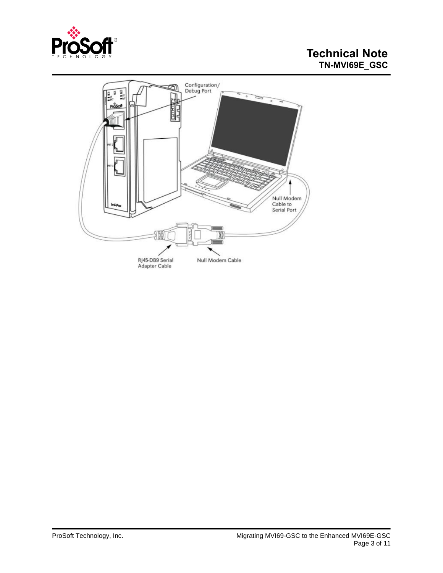

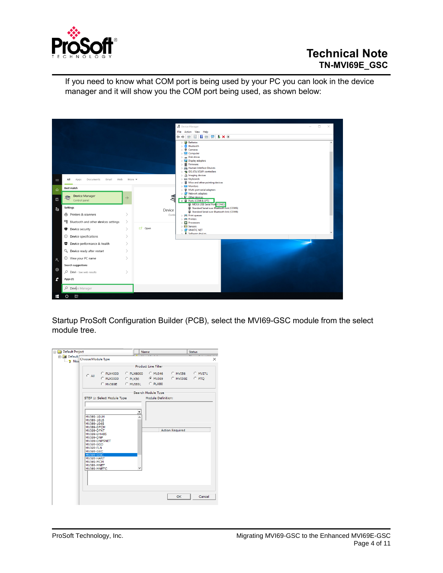

If you need to know what COM port is being used by your PC you can look in the device manager and it will show you the COM port being used, as shown below:



Startup ProSoft Configuration Builder (PCB), select the MVI69-GSC module from the select module tree.

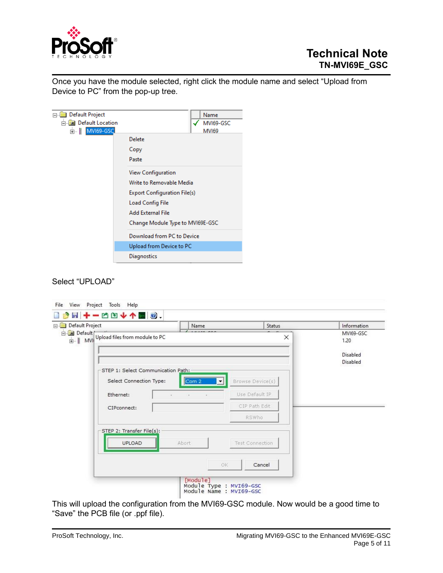

Once you have the module selected, right click the module name and select "Upload from Device to PC" from the pop-up tree.

| <b>Default Project</b>         |                                     | Name         |
|--------------------------------|-------------------------------------|--------------|
| <b>Figure Default Location</b> |                                     | MVI69-GSC    |
| ≐ i<br>MVI69-GSC               |                                     | <b>MVI69</b> |
|                                | Delete                              |              |
|                                | Copy                                |              |
|                                | Paste                               |              |
|                                | <b>View Configuration</b>           |              |
|                                | Write to Removable Media            |              |
|                                | <b>Export Configuration File(s)</b> |              |
|                                | Load Config File                    |              |
|                                | Add External File                   |              |
|                                | Change Module Type to MV169E-GSC    |              |
| Download from PC to Device     |                                     |              |
|                                | Upload from Device to PC            |              |
|                                | Diagnostics                         |              |
|                                |                                     |              |

#### Select "UPLOAD"

| Default Project                                                  | Name                                                     |                        | <b>Status</b> | Information                   |
|------------------------------------------------------------------|----------------------------------------------------------|------------------------|---------------|-------------------------------|
| in Default<br>$\frac{1}{ E }$ MVI Upload files from module to PC |                                                          |                        | $\times$      | MVI69-GSC<br>1.20<br>Disabled |
| STEP 1: Select Communication Path:<br>Select Connection Type:    | Com 2                                                    | Browse Device(s)<br>▼  |               | Disabled                      |
| Ethernet:                                                        | $\mathcal{L}(\mathbf{r})$<br><b>Contractor</b><br>$\sim$ | Use Default IP         |               |                               |
| CIPconnect:                                                      |                                                          | CIP Path Edit          |               |                               |
|                                                                  |                                                          | RSWho                  |               |                               |
| STEP 2: Transfer File(s):<br>UPLOAD                              | Abort                                                    | <b>Test Connection</b> |               |                               |
|                                                                  |                                                          | OK<br>Cancel           |               |                               |

This will upload the configuration from the MVI69-GSC module. Now would be a good time to "Save" the PCB file (or .ppf file).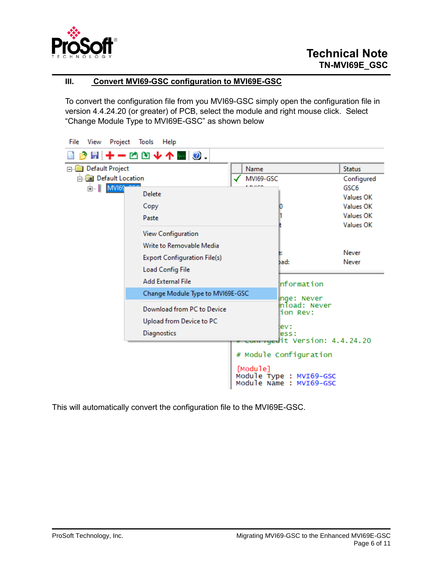

# **III. Convert MVI69-GSC configuration to MVI69E-GSC**

To convert the configuration file from you MVI69-GSC simply open the configuration file in version 4.4.24.20 (or greater) of PCB, select the module and right mouse click. Select "Change Module Type to MVI69E-GSC" as shown below

| File<br>View                   | Project Tools<br>Help                       |                                                    |                                           |                               |
|--------------------------------|---------------------------------------------|----------------------------------------------------|-------------------------------------------|-------------------------------|
|                                | 圖 ╋ ━ ñ Ñ <del>V</del> ≮ █ <mark>◎</mark> . |                                                    |                                           |                               |
| Default Project<br><b>FI-1</b> |                                             | Name                                               |                                           | <b>Status</b>                 |
| <b>a</b> Default Location      |                                             | MVI69-GSC                                          |                                           | Configured                    |
| 由 <b>MVI69</b>                 | Delete                                      | .                                                  |                                           | GSC <sub>6</sub><br>Values OK |
|                                | Copy                                        | 0                                                  |                                           | Values OK                     |
|                                | Paste                                       |                                                    |                                           | Values OK                     |
|                                |                                             |                                                    |                                           | Values OK                     |
|                                | View Configuration                          |                                                    |                                           |                               |
|                                | Write to Removable Media                    | в.                                                 |                                           | Never                         |
|                                | <b>Export Configuration File(s)</b>         | bad:                                               |                                           | Never                         |
|                                | <b>Load Config File</b>                     |                                                    |                                           |                               |
|                                | <b>Add External File</b>                    |                                                    | Information                               |                               |
|                                | Change Module Type to MVI69E-GSC            |                                                    | inge: Never                               |                               |
|                                | Download from PC to Device                  |                                                    | mload: Never<br>lion Rev:                 |                               |
|                                | Upload from Device to PC                    |                                                    |                                           |                               |
|                                | Diagnostics                                 | lev :                                              | less :                                    |                               |
|                                |                                             |                                                    | <del>com ryed</del> it Version: 4.4.24.20 |                               |
|                                |                                             | # Module Configuration                             |                                           |                               |
|                                |                                             | [Module]                                           |                                           |                               |
|                                |                                             | Module Type : MVI69-GSC<br>Module Name : MVI69-GSC |                                           |                               |

This will automatically convert the configuration file to the MVI69E-GSC.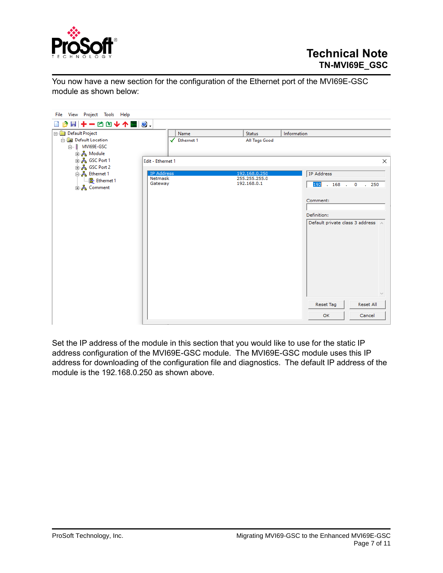

You now have a new section for the configuration of the Ethernet port of the MVI69E-GSC module as shown below:

| File View Project Tools Help                                                 |                                         |                                               |                                                                                                                                    |
|------------------------------------------------------------------------------|-----------------------------------------|-----------------------------------------------|------------------------------------------------------------------------------------------------------------------------------------|
| B B + - C D + 1 M 0.                                                         |                                         |                                               |                                                                                                                                    |
| Default Project                                                              | Name                                    | <b>Status</b>                                 | Information                                                                                                                        |
| <b>En Default Location</b><br>□ MVI69E-GSC<br>ட் க <mark>&amp;</mark> Module | Ethernet 1                              | All Tags Good                                 |                                                                                                                                    |
| <mark>⊕்ஃ</mark> GSC Port 1<br><mark>⊕்ஃ</mark> GSC Port 2                   | Edit - Ethernet 1                       |                                               | ×                                                                                                                                  |
| ြ… <mark>ஃ</mark> Ethernet 1<br>L. B Ethernet 1<br><u>⊕்க்கே</u> Comment     | <b>IP Address</b><br>Netmask<br>Gateway | 192.168.0.250<br>255.255.255.0<br>192.168.0.1 | <b>IP Address</b><br>192 . 168 . 0 . 250<br>Comment:<br>Definition:<br>Default private class 3 address<br>$\backslash \mathcal{J}$ |
|                                                                              |                                         |                                               | Reset Tag<br><b>Reset All</b>                                                                                                      |
|                                                                              |                                         |                                               | OK<br>Cancel                                                                                                                       |

Set the IP address of the module in this section that you would like to use for the static IP address configuration of the MVI69E-GSC module. The MVI69E-GSC module uses this IP address for downloading of the configuration file and diagnostics. The default IP address of the module is the 192.168.0.250 as shown above.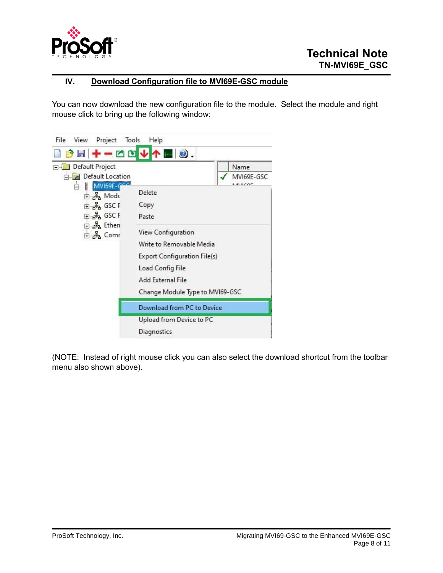

# **IV. Download Configuration file to MVI69E-GSC module**

You can now download the new configuration file to the module. Select the module and right mouse click to bring up the following window:



(NOTE: Instead of right mouse click you can also select the download shortcut from the toolbar menu also shown above).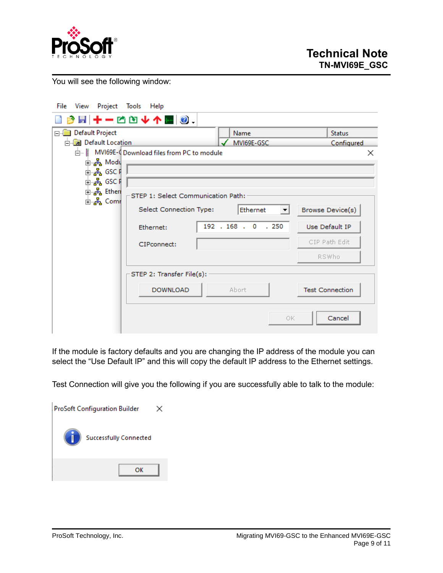

You will see the following window:

| File<br>View | Project Tools                | Help                                      |                     |                                  |                        |                  |
|--------------|------------------------------|-------------------------------------------|---------------------|----------------------------------|------------------------|------------------|
|              |                              | B B + - D D + 1 M 0 .                     |                     |                                  |                        |                  |
|              | Default Project              |                                           | Name                |                                  |                        | <b>Status</b>    |
|              | <b>En Default Location</b>   |                                           |                     | MVI69E-GSC                       |                        | Configured       |
|              |                              | MVI69E-4 Download files from PC to module |                     |                                  |                        | ×                |
|              | ங்⊶ஃ <mark>&amp;</mark> Modu |                                           |                     |                                  |                        |                  |
|              | ∄ுஃ GSC F                    |                                           |                     |                                  |                        |                  |
|              | ⊞… <mark>ஃ.</mark> GSC F     |                                           |                     |                                  |                        |                  |
|              | <b>⊕்ஃ Etheri</b>            | STEP 1: Select Communication Path:        |                     |                                  |                        |                  |
|              | ங்⊸ <mark>ஃ</mark> Comr      | Select Connection Type:                   |                     | Ethernet<br>$\blacktriangledown$ |                        | Browse Device(s) |
|              |                              |                                           |                     |                                  |                        |                  |
|              |                              | Ethernet:                                 | 192 . 168 . 0 . 250 |                                  | Use Default IP         |                  |
|              |                              | CIPconnect:                               |                     |                                  |                        | CIP Path Edit    |
|              |                              |                                           |                     |                                  | RSWho                  |                  |
|              |                              | STEP 2: Transfer File(s):                 |                     |                                  |                        |                  |
|              |                              | <b>DOWNLOAD</b>                           | Abort               |                                  | <b>Test Connection</b> |                  |
|              |                              |                                           |                     | OK.                              |                        | Cancel           |

If the module is factory defaults and you are changing the IP address of the module you can select the "Use Default IP" and this will copy the default IP address to the Ethernet settings.

Test Connection will give you the following if you are successfully able to talk to the module:

| <b>ProSoft Configuration Builder</b> |                               |  |
|--------------------------------------|-------------------------------|--|
|                                      | <b>Successfully Connected</b> |  |
|                                      | ок                            |  |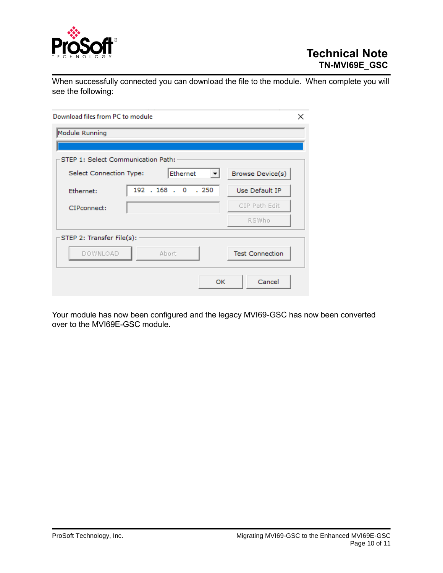

When successfully connected you can download the file to the module. When complete you will see the following:

| Download files from PC to module   |                                      | ×                      |  |  |  |
|------------------------------------|--------------------------------------|------------------------|--|--|--|
| Module Running                     |                                      |                        |  |  |  |
|                                    |                                      |                        |  |  |  |
| STEP 1: Select Communication Path: |                                      |                        |  |  |  |
| Select Connection Type:            | Ethernet<br>$\vert \mathbf{v} \vert$ | Browse Device(s)       |  |  |  |
| Ethernet:                          | 192 . 168 . 0 . 250                  | Use Default IP         |  |  |  |
| CIPconnect:                        |                                      | CIP Path Edit          |  |  |  |
|                                    |                                      | RSWho                  |  |  |  |
| STEP 2: Transfer File(s):          |                                      |                        |  |  |  |
| DOWNLOAD                           | Abort                                | <b>Test Connection</b> |  |  |  |
|                                    | OK                                   | Cancel                 |  |  |  |

Your module has now been configured and the legacy MVI69-GSC has now been converted over to the MVI69E-GSC module.